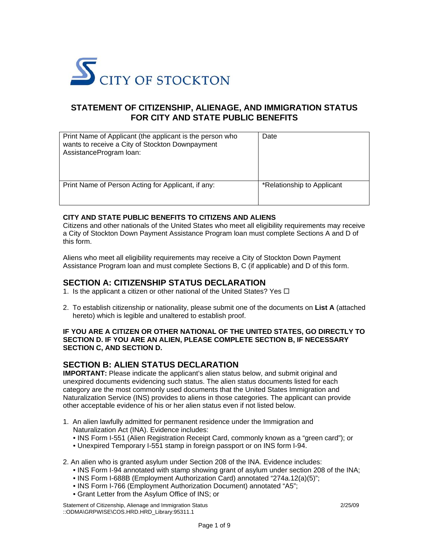

# **STATEMENT OF CITIZENSHIP, ALIENAGE, AND IMMIGRATION STATUS FOR CITY AND STATE PUBLIC BENEFITS**

| Print Name of Applicant (the applicant is the person who<br>wants to receive a City of Stockton Downpayment<br>AssistanceProgram loan: | Date                       |
|----------------------------------------------------------------------------------------------------------------------------------------|----------------------------|
| Print Name of Person Acting for Applicant, if any:                                                                                     | *Relationship to Applicant |

### **CITY AND STATE PUBLIC BENEFITS TO CITIZENS AND ALIENS**

Citizens and other nationals of the United States who meet all eligibility requirements may receive a City of Stockton Down Payment Assistance Program loan must complete Sections A and D of this form.

Aliens who meet all eligibility requirements may receive a City of Stockton Down Payment Assistance Program loan and must complete Sections B, C (if applicable) and D of this form.

## **SECTION A: CITIZENSHIP STATUS DECLARATION**

- 1. Is the applicant a citizen or other national of the United States? Yes  $\Box$
- 2. To establish citizenship or nationality, please submit one of the documents on **List A** (attached hereto) which is legible and unaltered to establish proof.

#### **IF YOU ARE A CITIZEN OR OTHER NATIONAL OF THE UNITED STATES, GO DIRECTLY TO SECTION D. IF YOU ARE AN ALIEN, PLEASE COMPLETE SECTION B, IF NECESSARY SECTION C, AND SECTION D.**

## **SECTION B: ALIEN STATUS DECLARATION**

**IMPORTANT:** Please indicate the applicant's alien status below, and submit original and unexpired documents evidencing such status. The alien status documents listed for each category are the most commonly used documents that the United States Immigration and Naturalization Service (INS) provides to aliens in those categories. The applicant can provide other acceptable evidence of his or her alien status even if not listed below.

- 1. An alien lawfully admitted for permanent residence under the Immigration and Naturalization Act (INA). Evidence includes:
	- INS Form I-551 (Alien Registration Receipt Card, commonly known as a "green card"); or
	- Unexpired Temporary I-551 stamp in foreign passport or on INS form I-94.
- 2. An alien who is granted asylum under Section 208 of the INA. Evidence includes:
	- INS Form I-94 annotated with stamp showing grant of asylum under section 208 of the INA;
	- INS Form I-688B (Employment Authorization Card) annotated "274a.12(a)(5)";
	- INS Form I-766 (Employment Authorization Document) annotated "A5";
	- Grant Letter from the Asylum Office of INS; or

Statement of Citizenship, Alienage and Immigration Status 2/25/09 ::ODMA\GRPWISE\COS.HRD.HRD\_Library:95311.1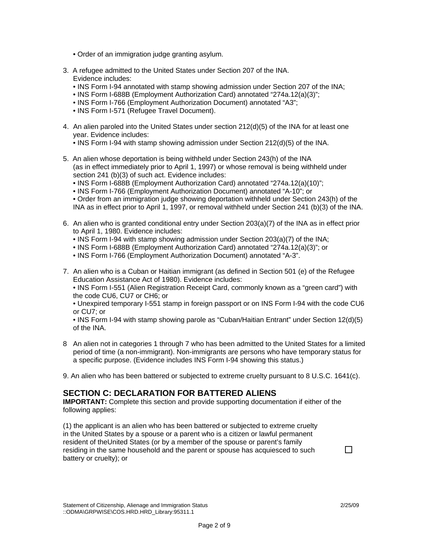- Order of an immigration judge granting asylum.
- 3. A refugee admitted to the United States under Section 207 of the INA. Evidence includes:
	- INS Form I-94 annotated with stamp showing admission under Section 207 of the INA;
	- INS Form I-688B (Employment Authorization Card) annotated "274a.12(a)(3)";
	- INS Form I-766 (Employment Authorization Document) annotated "A3";
	- INS Form I-571 (Refugee Travel Document).
- 4. An alien paroled into the United States under section 212(d)(5) of the INA for at least one year. Evidence includes:
	- INS Form I-94 with stamp showing admission under Section 212(d)(5) of the INA.
- 5. An alien whose deportation is being withheld under Section 243(h) of the INA (as in effect immediately prior to April 1, 1997) or whose removal is being withheld under section 241 (b)(3) of such act. Evidence includes:
	- INS Form I-688B (Employment Authorization Card) annotated "274a.12(a)(10)";
	- INS Form I-766 (Employment Authorization Document) annotated "A-10"; or
	- Order from an immigration judge showing deportation withheld under Section 243(h) of the INA as in effect prior to April 1, 1997, or removal withheld under Section 241 (b)(3) of the INA.
- 6. An alien who is granted conditional entry under Section 203(a)(7) of the INA as in effect prior to April 1, 1980. Evidence includes:
	- INS Form I-94 with stamp showing admission under Section 203(a)(7) of the INA;
	- INS Form I-688B (Employment Authorization Card) annotated "274a.12(a)(3)"; or
	- INS Form I-766 (Employment Authorization Document) annotated "A-3".
- 7. An alien who is a Cuban or Haitian immigrant (as defined in Section 501 (e) of the Refugee Education Assistance Act of 1980). Evidence includes:

• INS Form I-551 (Alien Registration Receipt Card, commonly known as a "green card") with the code CU6, CU7 or CH6; or

• Unexpired temporary I-551 stamp in foreign passport or on INS Form I-94 with the code CU6 or CU7; or

• INS Form I-94 with stamp showing parole as "Cuban/Haitian Entrant" under Section 12(d)(5) of the INA.

- 8 An alien not in categories 1 through 7 who has been admitted to the United States for a limited period of time (a non-immigrant). Non-immigrants are persons who have temporary status for a specific purpose. (Evidence includes INS Form I-94 showing this status.)
- 9. An alien who has been battered or subjected to extreme cruelty pursuant to 8 U.S.C. 1641(c).

## **SECTION C: DECLARATION FOR BATTERED ALIENS**

**IMPORTANT:** Complete this section and provide supporting documentation if either of the following applies:

(1) the applicant is an alien who has been battered or subjected to extreme cruelty in the United States by a spouse or a parent who is a citizen or lawful permanent resident of theUnited States (or by a member of the spouse or parent's family residing in the same household and the parent or spouse has acquiesced to such battery or cruelty); or

П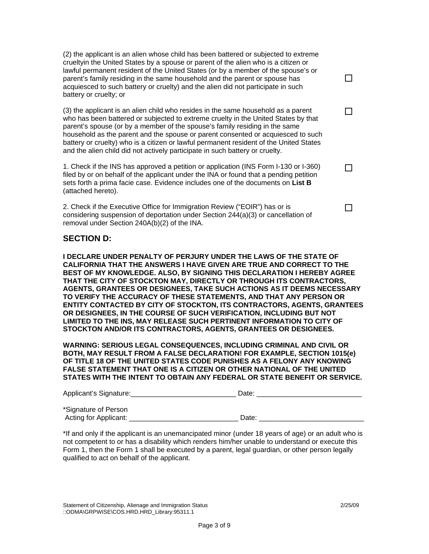(2) the applicant is an alien whose child has been battered or subjected to extreme crueltyin the United States by a spouse or parent of the alien who is a citizen or lawful permanent resident of the United States (or by a member of the spouse's or parent's family residing in the same household and the parent or spouse has acquiesced to such battery or cruelty) and the alien did not participate in such battery or cruelty; or

(3) the applicant is an alien child who resides in the same household as a parent  $\square$ who has been battered or subjected to extreme cruelty in the United States by that parent's spouse (or by a member of the spouse's family residing in the same household as the parent and the spouse or parent consented or acquiesced to such battery or cruelty) who is a citizen or lawful permanent resident of the United States and the alien child did not actively participate in such battery or cruelty.

1. Check if the INS has approved a petition or application (INS Form I-130 or I-360) filed by or on behalf of the applicant under the INA or found that a pending petition sets forth a prima facie case. Evidence includes one of the documents on **List B**  (attached hereto).

2. Check if the Executive Office for Immigration Review ("EOIR") has or is considering suspension of deportation under Section 244(a)(3) or cancellation of removal under Section 240A(b)(2) of the INA.

# **SECTION D:**

**I DECLARE UNDER PENALTY OF PERJURY UNDER THE LAWS OF THE STATE OF CALIFORNIA THAT THE ANSWERS I HAVE GIVEN ARE TRUE AND CORRECT TO THE BEST OF MY KNOWLEDGE. ALSO, BY SIGNING THIS DECLARATION I HEREBY AGREE THAT THE CITY OF STOCKTON MAY, DIRECTLY OR THROUGH ITS CONTRACTORS, AGENTS, GRANTEES OR DESIGNEES, TAKE SUCH ACTIONS AS IT DEEMS NECESSARY TO VERIFY THE ACCURACY OF THESE STATEMENTS, AND THAT ANY PERSON OR ENTITY CONTACTED BY CITY OF STOCKTON, ITS CONTRACTORS, AGENTS, GRANTEES OR DESIGNEES, IN THE COURSE OF SUCH VERIFICATION, INCLUDING BUT NOT LIMITED TO THE INS, MAY RELEASE SUCH PERTINENT INFORMATION TO CITY OF STOCKTON AND/OR ITS CONTRACTORS, AGENTS, GRANTEES OR DESIGNEES.** 

**WARNING: SERIOUS LEGAL CONSEQUENCES, INCLUDING CRIMINAL AND CIVIL OR BOTH, MAY RESULT FROM A FALSE DECLARATION! FOR EXAMPLE, SECTION 1015(e) OF TITLE 18 OF THE UNITED STATES CODE PUNISHES AS A FELONY ANY KNOWING FALSE STATEMENT THAT ONE IS A CITIZEN OR OTHER NATIONAL OF THE UNITED STATES WITH THE INTENT TO OBTAIN ANY FEDERAL OR STATE BENEFIT OR SERVICE.** 

| Applicant's Signature: |  |
|------------------------|--|
|                        |  |
|                        |  |

| *Signature of Person  |      |  |
|-----------------------|------|--|
| Acting for Applicant: | )ate |  |

\*If and only if the applicant is an unemancipated minor (under 18 years of age) or an adult who is not competent to or has a disability which renders him/her unable to understand or execute this Form 1, then the Form 1 shall be executed by a parent, legal guardian, or other person legally qualified to act on behalf of the applicant.

П

П

П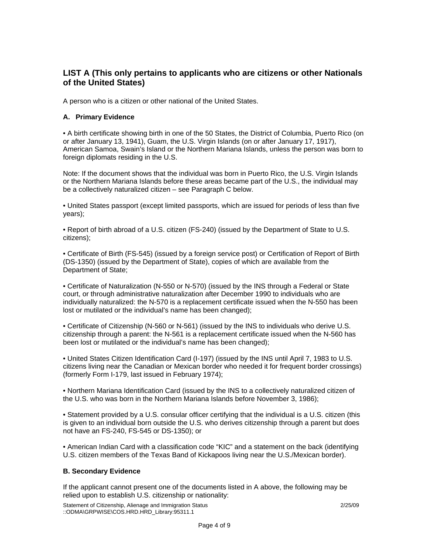# **LIST A (This only pertains to applicants who are citizens or other Nationals of the United States)**

A person who is a citizen or other national of the United States.

### **A. Primary Evidence**

• A birth certificate showing birth in one of the 50 States, the District of Columbia, Puerto Rico (on or after January 13, 1941), Guam, the U.S. Virgin Islands (on or after January 17, 1917), American Samoa, Swain's Island or the Northern Mariana Islands, unless the person was born to foreign diplomats residing in the U.S.

Note: If the document shows that the individual was born in Puerto Rico, the U.S. Virgin Islands or the Northern Mariana Islands before these areas became part of the U.S., the individual may be a collectively naturalized citizen – see Paragraph C below.

• United States passport (except limited passports, which are issued for periods of less than five years);

• Report of birth abroad of a U.S. citizen (FS-240) (issued by the Department of State to U.S. citizens);

• Certificate of Birth (FS-545) (issued by a foreign service post) or Certification of Report of Birth (DS-1350) (issued by the Department of State), copies of which are available from the Department of State;

• Certificate of Naturalization (N-550 or N-570) (issued by the INS through a Federal or State court, or through administrative naturalization after December 1990 to individuals who are individually naturalized: the N-570 is a replacement certificate issued when the N-550 has been lost or mutilated or the individual's name has been changed);

• Certificate of Citizenship (N-560 or N-561) (issued by the INS to individuals who derive U.S. citizenship through a parent: the N-561 is a replacement certificate issued when the N-560 has been lost or mutilated or the individual's name has been changed);

• United States Citizen Identification Card (I-197) (issued by the INS until April 7, 1983 to U.S. citizens living near the Canadian or Mexican border who needed it for frequent border crossings) (formerly Form I-179, last issued in February 1974);

• Northern Mariana Identification Card (issued by the INS to a collectively naturalized citizen of the U.S. who was born in the Northern Mariana Islands before November 3, 1986);

• Statement provided by a U.S. consular officer certifying that the individual is a U.S. citizen (this is given to an individual born outside the U.S. who derives citizenship through a parent but does not have an FS-240, FS-545 or DS-1350); or

• American Indian Card with a classification code "KIC" and a statement on the back (identifying U.S. citizen members of the Texas Band of Kickapoos living near the U.S./Mexican border).

#### **B. Secondary Evidence**

If the applicant cannot present one of the documents listed in A above, the following may be relied upon to establish U.S. citizenship or nationality:

Statement of Citizenship, Alienage and Immigration Status 2/25/09 ::ODMA\GRPWISE\COS.HRD.HRD\_Library:95311.1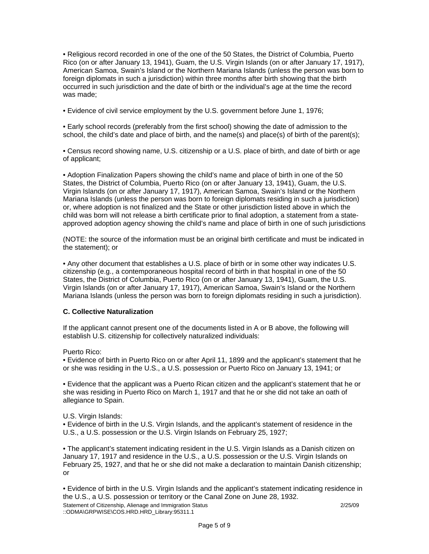• Religious record recorded in one of the one of the 50 States, the District of Columbia, Puerto Rico (on or after January 13, 1941), Guam, the U.S. Virgin Islands (on or after January 17, 1917), American Samoa, Swain's Island or the Northern Mariana Islands (unless the person was born to foreign diplomats in such a jurisdiction) within three months after birth showing that the birth occurred in such jurisdiction and the date of birth or the individual's age at the time the record was made;

• Evidence of civil service employment by the U.S. government before June 1, 1976;

• Early school records (preferably from the first school) showing the date of admission to the school, the child's date and place of birth, and the name(s) and place(s) of birth of the parent(s);

• Census record showing name, U.S. citizenship or a U.S. place of birth, and date of birth or age of applicant;

• Adoption Finalization Papers showing the child's name and place of birth in one of the 50 States, the District of Columbia, Puerto Rico (on or after January 13, 1941), Guam, the U.S. Virgin Islands (on or after January 17, 1917), American Samoa, Swain's Island or the Northern Mariana Islands (unless the person was born to foreign diplomats residing in such a jurisdiction) or, where adoption is not finalized and the State or other jurisdiction listed above in which the child was born will not release a birth certificate prior to final adoption, a statement from a stateapproved adoption agency showing the child's name and place of birth in one of such jurisdictions

(NOTE: the source of the information must be an original birth certificate and must be indicated in the statement); or

• Any other document that establishes a U.S. place of birth or in some other way indicates U.S. citizenship (e.g., a contemporaneous hospital record of birth in that hospital in one of the 50 States, the District of Columbia, Puerto Rico (on or after January 13, 1941), Guam, the U.S. Virgin Islands (on or after January 17, 1917), American Samoa, Swain's Island or the Northern Mariana Islands (unless the person was born to foreign diplomats residing in such a jurisdiction).

## **C. Collective Naturalization**

If the applicant cannot present one of the documents listed in A or B above, the following will establish U.S. citizenship for collectively naturalized individuals:

Puerto Rico:

• Evidence of birth in Puerto Rico on or after April 11, 1899 and the applicant's statement that he or she was residing in the U.S., a U.S. possession or Puerto Rico on January 13, 1941; or

• Evidence that the applicant was a Puerto Rican citizen and the applicant's statement that he or she was residing in Puerto Rico on March 1, 1917 and that he or she did not take an oath of allegiance to Spain.

U.S. Virgin Islands:

• Evidence of birth in the U.S. Virgin Islands, and the applicant's statement of residence in the U.S., a U.S. possession or the U.S. Virgin Islands on February 25, 1927;

• The applicant's statement indicating resident in the U.S. Virgin Islands as a Danish citizen on January 17, 1917 and residence in the U.S., a U.S. possession or the U.S. Virgin Islands on February 25, 1927, and that he or she did not make a declaration to maintain Danish citizenship; or

Statement of Citizenship, Alienage and Immigration Status 2/25/09 ::ODMA\GRPWISE\COS.HRD.HRD\_Library:95311.1 • Evidence of birth in the U.S. Virgin Islands and the applicant's statement indicating residence in the U.S., a U.S. possession or territory or the Canal Zone on June 28, 1932.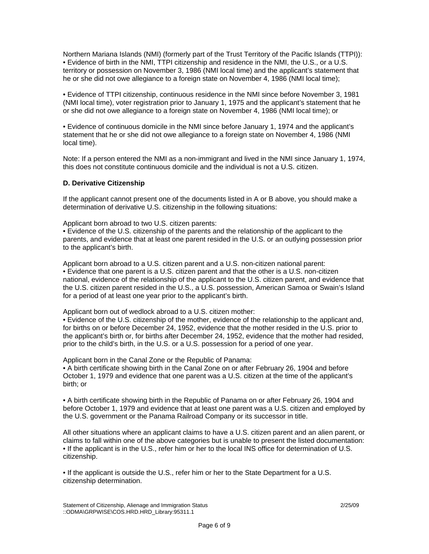Northern Mariana Islands (NMI) (formerly part of the Trust Territory of the Pacific Islands (TTPI)): • Evidence of birth in the NMI, TTPI citizenship and residence in the NMI, the U.S., or a U.S. territory or possession on November 3, 1986 (NMI local time) and the applicant's statement that he or she did not owe allegiance to a foreign state on November 4, 1986 (NMI local time);

• Evidence of TTPI citizenship, continuous residence in the NMI since before November 3, 1981 (NMI local time), voter registration prior to January 1, 1975 and the applicant's statement that he or she did not owe allegiance to a foreign state on November 4, 1986 (NMI local time); or

• Evidence of continuous domicile in the NMI since before January 1, 1974 and the applicant's statement that he or she did not owe allegiance to a foreign state on November 4, 1986 (NMI local time).

Note: If a person entered the NMI as a non-immigrant and lived in the NMI since January 1, 1974, this does not constitute continuous domicile and the individual is not a U.S. citizen.

#### **D. Derivative Citizenship**

If the applicant cannot present one of the documents listed in A or B above, you should make a determination of derivative U.S. citizenship in the following situations:

Applicant born abroad to two U.S. citizen parents:

• Evidence of the U.S. citizenship of the parents and the relationship of the applicant to the parents, and evidence that at least one parent resided in the U.S. or an outlying possession prior to the applicant's birth.

Applicant born abroad to a U.S. citizen parent and a U.S. non-citizen national parent: • Evidence that one parent is a U.S. citizen parent and that the other is a U.S. non-citizen national, evidence of the relationship of the applicant to the U.S. citizen parent, and evidence that the U.S. citizen parent resided in the U.S., a U.S. possession, American Samoa or Swain's Island for a period of at least one year prior to the applicant's birth.

Applicant born out of wedlock abroad to a U.S. citizen mother:

• Evidence of the U.S. citizenship of the mother, evidence of the relationship to the applicant and, for births on or before December 24, 1952, evidence that the mother resided in the U.S. prior to the applicant's birth or, for births after December 24, 1952, evidence that the mother had resided, prior to the child's birth, in the U.S. or a U.S. possession for a period of one year.

Applicant born in the Canal Zone or the Republic of Panama:

• A birth certificate showing birth in the Canal Zone on or after February 26, 1904 and before October 1, 1979 and evidence that one parent was a U.S. citizen at the time of the applicant's birth; or

• A birth certificate showing birth in the Republic of Panama on or after February 26, 1904 and before October 1, 1979 and evidence that at least one parent was a U.S. citizen and employed by the U.S. government or the Panama Railroad Company or its successor in title.

All other situations where an applicant claims to have a U.S. citizen parent and an alien parent, or claims to fall within one of the above categories but is unable to present the listed documentation: • If the applicant is in the U.S., refer him or her to the local INS office for determination of U.S. citizenship.

• If the applicant is outside the U.S., refer him or her to the State Department for a U.S. citizenship determination.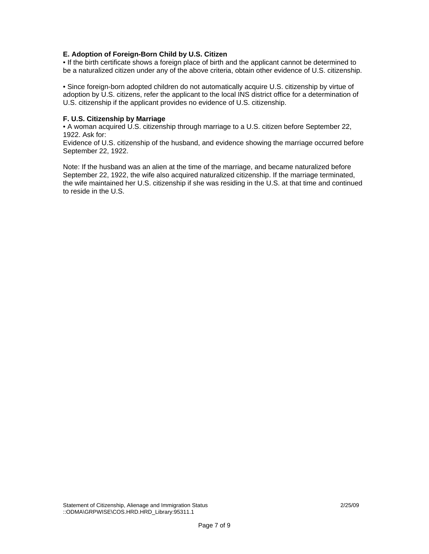### **E. Adoption of Foreign-Born Child by U.S. Citizen**

• If the birth certificate shows a foreign place of birth and the applicant cannot be determined to be a naturalized citizen under any of the above criteria, obtain other evidence of U.S. citizenship.

• Since foreign-born adopted children do not automatically acquire U.S. citizenship by virtue of adoption by U.S. citizens, refer the applicant to the local INS district office for a determination of U.S. citizenship if the applicant provides no evidence of U.S. citizenship.

#### **F. U.S. Citizenship by Marriage**

• A woman acquired U.S. citizenship through marriage to a U.S. citizen before September 22, 1922. Ask for:

Evidence of U.S. citizenship of the husband, and evidence showing the marriage occurred before September 22, 1922.

Note: If the husband was an alien at the time of the marriage, and became naturalized before September 22, 1922, the wife also acquired naturalized citizenship. If the marriage terminated, the wife maintained her U.S. citizenship if she was residing in the U.S. at that time and continued to reside in the U.S.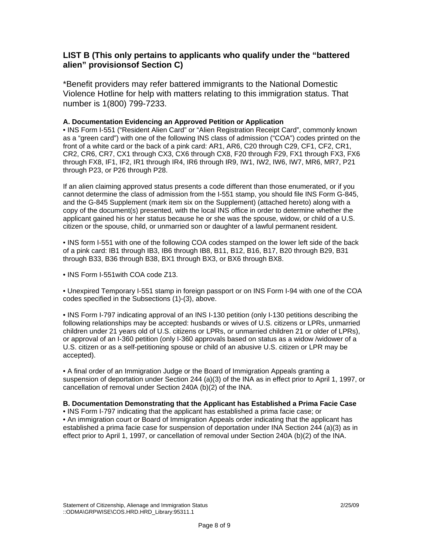# **LIST B (This only pertains to applicants who qualify under the "battered alien" provisionsof Section C)**

\*Benefit providers may refer battered immigrants to the National Domestic Violence Hotline for help with matters relating to this immigration status. That number is 1(800) 799-7233.

#### **A. Documentation Evidencing an Approved Petition or Application**

• INS Form I-551 ("Resident Alien Card" or "Alien Registration Receipt Card", commonly known as a "green card") with one of the following INS class of admission ("COA") codes printed on the front of a white card or the back of a pink card: AR1, AR6, C20 through C29, CF1, CF2, CR1, CR2, CR6, CR7, CX1 through CX3, CX6 through CX8, F20 through F29, FX1 through FX3, FX6 through FX8, IF1, IF2, IR1 through IR4, IR6 through IR9, IW1, IW2, IW6, IW7, MR6, MR7, P21 through P23, or P26 through P28.

If an alien claiming approved status presents a code different than those enumerated, or if you cannot determine the class of admission from the I-551 stamp, you should file INS Form G-845, and the G-845 Supplement (mark item six on the Supplement) (attached hereto) along with a copy of the document(s) presented, with the local INS office in order to determine whether the applicant gained his or her status because he or she was the spouse, widow, or child of a U.S. citizen or the spouse, child, or unmarried son or daughter of a lawful permanent resident.

• INS form I-551 with one of the following COA codes stamped on the lower left side of the back of a pink card: IB1 through IB3, IB6 through IB8, B11, B12, B16, B17, B20 through B29, B31 through B33, B36 through B38, BX1 through BX3, or BX6 through BX8.

• INS Form I-551with COA code Z13.

• Unexpired Temporary I-551 stamp in foreign passport or on INS Form I-94 with one of the COA codes specified in the Subsections (1)-(3), above.

• INS Form I-797 indicating approval of an INS I-130 petition (only I-130 petitions describing the following relationships may be accepted: husbands or wives of U.S. citizens or LPRs, unmarried children under 21 years old of U.S. citizens or LPRs, or unmarried children 21 or older of LPRs), or approval of an I-360 petition (only I-360 approvals based on status as a widow /widower of a U.S. citizen or as a self-petitioning spouse or child of an abusive U.S. citizen or LPR may be accepted).

• A final order of an Immigration Judge or the Board of Immigration Appeals granting a suspension of deportation under Section 244 (a)(3) of the INA as in effect prior to April 1, 1997, or cancellation of removal under Section 240A (b)(2) of the INA.

#### **B. Documentation Demonstrating that the Applicant has Established a Prima Facie Case**

• INS Form I-797 indicating that the applicant has established a prima facie case; or • An immigration court or Board of Immigration Appeals order indicating that the applicant has established a prima facie case for suspension of deportation under INA Section 244 (a)(3) as in effect prior to April 1, 1997, or cancellation of removal under Section 240A (b)(2) of the INA.